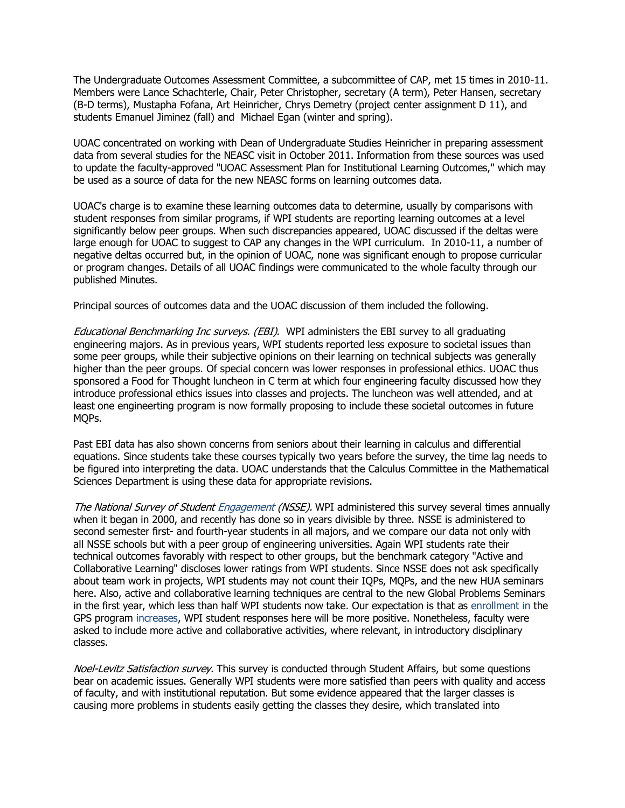The Undergraduate Outcomes Assessment Committee, a subcommittee of CAP, met 15 times in 2010-11. Members were Lance Schachterle, Chair, Peter Christopher, secretary (A term), Peter Hansen, secretary (B-D terms), Mustapha Fofana, Art Heinricher, Chrys Demetry (project center assignment D 11), and students Emanuel Jiminez (fall) and Michael Egan (winter and spring).

UOAC concentrated on working with Dean of Undergraduate Studies Heinricher in preparing assessment data from several studies for the NEASC visit in October 2011. Information from these sources was used to update the faculty-approved "UOAC Assessment Plan for Institutional Learning Outcomes," which may be used as a source of data for the new NEASC forms on learning outcomes data.

UOAC's charge is to examine these learning outcomes data to determine, usually by comparisons with student responses from similar programs, if WPI students are reporting learning outcomes at a level significantly below peer groups. When such discrepancies appeared, UOAC discussed if the deltas were large enough for UOAC to suggest to CAP any changes in the WPI curriculum. In 2010-11, a number of negative deltas occurred but, in the opinion of UOAC, none was significant enough to propose curricular or program changes. Details of all UOAC findings were communicated to the whole faculty through our published Minutes.

Principal sources of outcomes data and the UOAC discussion of them included the following.

Educational Benchmarking Inc surveys. (EBI). WPI administers the EBI survey to all graduating engineering majors. As in previous years, WPI students reported less exposure to societal issues than some peer groups, while their subjective opinions on their learning on technical subjects was generally higher than the peer groups. Of special concern was lower responses in professional ethics. UOAC thus sponsored a Food for Thought luncheon in C term at which four engineering faculty discussed how they introduce professional ethics issues into classes and projects. The luncheon was well attended, and at least one engineerting program is now formally proposing to include these societal outcomes in future MQPs.

Past EBI data has also shown concerns from seniors about their learning in calculus and differential equations. Since students take these courses typically two years before the survey, the time lag needs to be figured into interpreting the data. UOAC understands that the Calculus Committee in the Mathematical Sciences Department is using these data for appropriate revisions.

The National Survey of Student Engagement (NSSE). WPI administered this survey several times annually when it began in 2000, and recently has done so in years divisible by three. NSSE is administered to second semester first- and fourth-year students in all majors, and we compare our data not only with all NSSE schools but with a peer group of engineering universities. Again WPI students rate their technical outcomes favorably with respect to other groups, but the benchmark category "Active and Collaborative Learning" discloses lower ratings from WPI students. Since NSSE does not ask specifically about team work in projects, WPI students may not count their IQPs, MQPs, and the new HUA seminars here. Also, active and collaborative learning techniques are central to the new Global Problems Seminars in the first year, which less than half WPI students now take. Our expectation is that as enrollment in the GPS program increases, WPI student responses here will be more positive. Nonetheless, faculty were asked to include more active and collaborative activities, where relevant, in introductory disciplinary classes.

Noel-Levitz Satisfaction survey. This survey is conducted through Student Affairs, but some questions bear on academic issues. Generally WPI students were more satisfied than peers with quality and access of faculty, and with institutional reputation. But some evidence appeared that the larger classes is causing more problems in students easily getting the classes they desire, which translated into